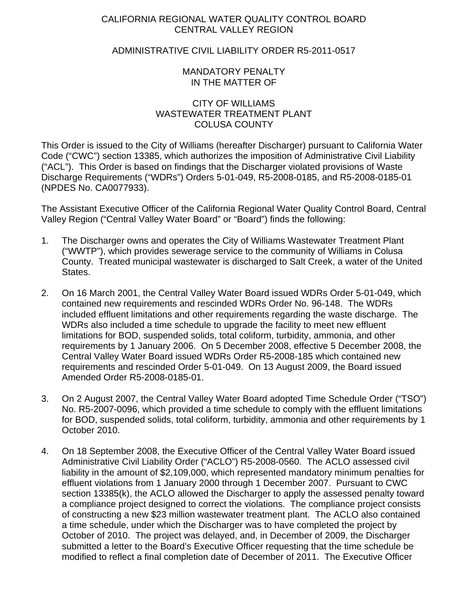## CALIFORNIA REGIONAL WATER QUALITY CONTROL BOARD CENTRAL VALLEY REGION

## ADMINISTRATIVE CIVIL LIABILITY ORDER R5-2011-0517

## MANDATORY PENALTY IN THE MATTER OF

### CITY OF WILLIAMS WASTEWATER TREATMENT PLANT COLUSA COUNTY

This Order is issued to the City of Williams (hereafter Discharger) pursuant to California Water Code ("CWC") section 13385, which authorizes the imposition of Administrative Civil Liability ("ACL"). This Order is based on findings that the Discharger violated provisions of Waste Discharge Requirements ("WDRs") Orders 5-01-049, R5-2008-0185, and R5-2008-0185-01 (NPDES No. CA0077933).

The Assistant Executive Officer of the California Regional Water Quality Control Board, Central Valley Region ("Central Valley Water Board" or "Board") finds the following:

- 1. The Discharger owns and operates the City of Williams Wastewater Treatment Plant ("WWTP"), which provides sewerage service to the community of Williams in Colusa County. Treated municipal wastewater is discharged to Salt Creek, a water of the United States.
- 2. On 16 March 2001, the Central Valley Water Board issued WDRs Order 5-01-049, which contained new requirements and rescinded WDRs Order No. 96-148. The WDRs included effluent limitations and other requirements regarding the waste discharge. The WDRs also included a time schedule to upgrade the facility to meet new effluent limitations for BOD, suspended solids, total coliform, turbidity, ammonia, and other requirements by 1 January 2006. On 5 December 2008, effective 5 December 2008, the Central Valley Water Board issued WDRs Order R5-2008-185 which contained new requirements and rescinded Order 5-01-049. On 13 August 2009, the Board issued Amended Order R5-2008-0185-01.
- 3. On 2 August 2007, the Central Valley Water Board adopted Time Schedule Order ("TSO") No. R5-2007-0096, which provided a time schedule to comply with the effluent limitations for BOD, suspended solids, total coliform, turbidity, ammonia and other requirements by 1 October 2010.
- 4. On 18 September 2008, the Executive Officer of the Central Valley Water Board issued Administrative Civil Liability Order ("ACLO") R5-2008-0560. The ACLO assessed civil liability in the amount of \$2,109,000, which represented mandatory minimum penalties for effluent violations from 1 January 2000 through 1 December 2007. Pursuant to CWC section 13385(k), the ACLO allowed the Discharger to apply the assessed penalty toward a compliance project designed to correct the violations. The compliance project consists of constructing a new \$23 million wastewater treatment plant. The ACLO also contained a time schedule, under which the Discharger was to have completed the project by October of 2010. The project was delayed, and, in December of 2009, the Discharger submitted a letter to the Board's Executive Officer requesting that the time schedule be modified to reflect a final completion date of December of 2011. The Executive Officer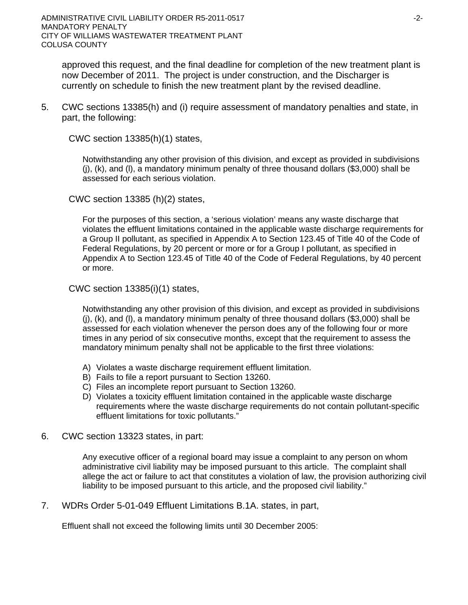approved this request, and the final deadline for completion of the new treatment plant is now December of 2011. The project is under construction, and the Discharger is currently on schedule to finish the new treatment plant by the revised deadline.

5. CWC sections 13385(h) and (i) require assessment of mandatory penalties and state, in part, the following:

CWC section 13385(h)(1) states,

Notwithstanding any other provision of this division, and except as provided in subdivisions (j), (k), and (l), a mandatory minimum penalty of three thousand dollars (\$3,000) shall be assessed for each serious violation.

CWC section 13385 (h)(2) states,

For the purposes of this section, a 'serious violation' means any waste discharge that violates the effluent limitations contained in the applicable waste discharge requirements for a Group II pollutant, as specified in Appendix A to Section 123.45 of Title 40 of the Code of Federal Regulations, by 20 percent or more or for a Group I pollutant, as specified in Appendix A to Section 123.45 of Title 40 of the Code of Federal Regulations, by 40 percent or more.

CWC section 13385(i)(1) states,

Notwithstanding any other provision of this division, and except as provided in subdivisions (j), (k), and (l), a mandatory minimum penalty of three thousand dollars (\$3,000) shall be assessed for each violation whenever the person does any of the following four or more times in any period of six consecutive months, except that the requirement to assess the mandatory minimum penalty shall not be applicable to the first three violations:

- A) Violates a waste discharge requirement effluent limitation.
- B) Fails to file a report pursuant to Section 13260.
- C) Files an incomplete report pursuant to Section 13260.
- D) Violates a toxicity effluent limitation contained in the applicable waste discharge requirements where the waste discharge requirements do not contain pollutant-specific effluent limitations for toxic pollutants."
- 6. CWC section 13323 states, in part:

Any executive officer of a regional board may issue a complaint to any person on whom administrative civil liability may be imposed pursuant to this article. The complaint shall allege the act or failure to act that constitutes a violation of law, the provision authorizing civil liability to be imposed pursuant to this article, and the proposed civil liability."

7. WDRs Order 5-01-049 Effluent Limitations B.1A. states, in part,

Effluent shall not exceed the following limits until 30 December 2005: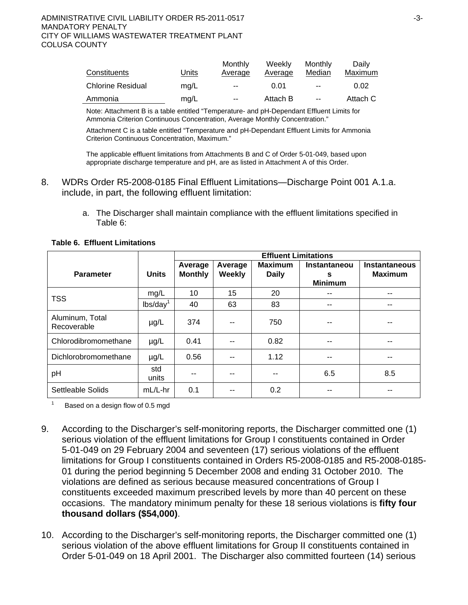#### ADMINISTRATIVE CIVIL LIABILITY ORDER R5-2011-0517 ADMINISTRATIVE CIVIL LIABILITY ORDER R5-2011-0517 MANDATORY PENALTY CITY OF WILLIAMS WASTEWATER TREATMENT PLANT COLUSA COUNTY

| Constituents             | Units | Monthly<br>Average       | Weekly<br>Average | Monthly<br>Median | Daily<br>Maximum |
|--------------------------|-------|--------------------------|-------------------|-------------------|------------------|
| <b>Chlorine Residual</b> | mq/L  | $\overline{\phantom{a}}$ | 0.01              | $\sim$ $\sim$     | 0.02             |
| Ammonia                  | mg/L  | $-$                      | Attach B          | $\sim$            | Attach C         |

Note: Attachment B is a table entitled "Temperature- and pH-Dependant Effluent Limits for Ammonia Criterion Continuous Concentration, Average Monthly Concentration."

Attachment C is a table entitled "Temperature and pH-Dependant Effluent Limits for Ammonia Criterion Continuous Concentration, Maximum."

The applicable effluent limitations from Attachments B and C of Order 5-01-049, based upon appropriate discharge temperature and pH, are as listed in Attachment A of this Order.

- 8. WDRs Order R5-2008-0185 Final Effluent Limitations—Discharge Point 001 A.1.a. include, in part, the following effluent limitation:
	- a. The Discharger shall maintain compliance with the effluent limitations specified in Table 6:

|                                |                      | <b>Effluent Limitations</b> |                   |                                |                                            |                                        |  |
|--------------------------------|----------------------|-----------------------------|-------------------|--------------------------------|--------------------------------------------|----------------------------------------|--|
| <b>Parameter</b>               | <b>Units</b>         | Average<br><b>Monthly</b>   | Average<br>Weekly | <b>Maximum</b><br><b>Daily</b> | <b>Instantaneou</b><br>s<br><b>Minimum</b> | <b>Instantaneous</b><br><b>Maximum</b> |  |
| <b>TSS</b>                     | mg/L                 | 10                          | 15                | 20                             | --                                         | $-$                                    |  |
|                                | lbs/day <sup>1</sup> | 40                          | 63                | 83                             | --                                         | $- -$                                  |  |
| Aluminum, Total<br>Recoverable | $\mu$ g/L            | 374                         | --                | 750                            | --                                         | $- -$                                  |  |
| Chlorodibromomethane           | $\mu$ g/L            | 0.41                        |                   | 0.82                           | --                                         | --                                     |  |
| Dichlorobromomethane           | $\mu$ g/L            | 0.56                        |                   | 1.12                           | --                                         |                                        |  |
| pH                             | std<br>units         | --                          | --                |                                | 6.5                                        | 8.5                                    |  |
| Settleable Solids              | mL/L-hr              | 0.1                         |                   | 0.2                            | --                                         |                                        |  |

**Table 6. Effluent Limitations** 

1 Based on a design flow of 0.5 mgd

- 9. According to the Discharger's self-monitoring reports, the Discharger committed one (1) serious violation of the effluent limitations for Group I constituents contained in Order 5-01-049 on 29 February 2004 and seventeen (17) serious violations of the effluent limitations for Group I constituents contained in Orders R5-2008-0185 and R5-2008-0185- 01 during the period beginning 5 December 2008 and ending 31 October 2010. The violations are defined as serious because measured concentrations of Group I constituents exceeded maximum prescribed levels by more than 40 percent on these occasions. The mandatory minimum penalty for these 18 serious violations is **fifty four thousand dollars (\$54,000)**.
- 10. According to the Discharger's self-monitoring reports, the Discharger committed one (1) serious violation of the above effluent limitations for Group II constituents contained in Order 5-01-049 on 18 April 2001. The Discharger also committed fourteen (14) serious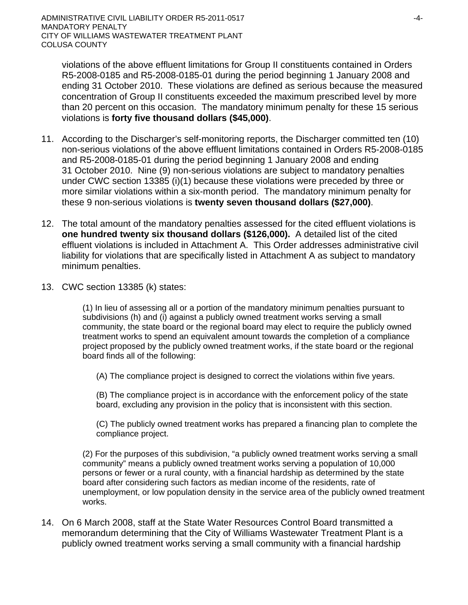violations of the above effluent limitations for Group II constituents contained in Orders R5-2008-0185 and R5-2008-0185-01 during the period beginning 1 January 2008 and ending 31 October 2010. These violations are defined as serious because the measured concentration of Group II constituents exceeded the maximum prescribed level by more than 20 percent on this occasion. The mandatory minimum penalty for these 15 serious violations is **forty five thousand dollars (\$45,000)**.

- 11. According to the Discharger's self-monitoring reports, the Discharger committed ten (10) non-serious violations of the above effluent limitations contained in Orders R5-2008-0185 and R5-2008-0185-01 during the period beginning 1 January 2008 and ending 31 October 2010. Nine (9) non-serious violations are subject to mandatory penalties under CWC section 13385 (i)(1) because these violations were preceded by three or more similar violations within a six-month period. The mandatory minimum penalty for these 9 non-serious violations is **twenty seven thousand dollars (\$27,000)**.
- 12. The total amount of the mandatory penalties assessed for the cited effluent violations is **one hundred twenty six thousand dollars (\$126,000).** A detailed list of the cited effluent violations is included in Attachment A. This Order addresses administrative civil liability for violations that are specifically listed in Attachment A as subject to mandatory minimum penalties.
- 13. CWC section 13385 (k) states:

(1) In lieu of assessing all or a portion of the mandatory minimum penalties pursuant to subdivisions (h) and (i) against a publicly owned treatment works serving a small community, the state board or the regional board may elect to require the publicly owned treatment works to spend an equivalent amount towards the completion of a compliance project proposed by the publicly owned treatment works, if the state board or the regional board finds all of the following:

(A) The compliance project is designed to correct the violations within five years.

(B) The compliance project is in accordance with the enforcement policy of the state board, excluding any provision in the policy that is inconsistent with this section.

(C) The publicly owned treatment works has prepared a financing plan to complete the compliance project.

(2) For the purposes of this subdivision, "a publicly owned treatment works serving a small community" means a publicly owned treatment works serving a population of 10,000 persons or fewer or a rural county, with a financial hardship as determined by the state board after considering such factors as median income of the residents, rate of unemployment, or low population density in the service area of the publicly owned treatment works.

14. On 6 March 2008, staff at the State Water Resources Control Board transmitted a memorandum determining that the City of Williams Wastewater Treatment Plant is a publicly owned treatment works serving a small community with a financial hardship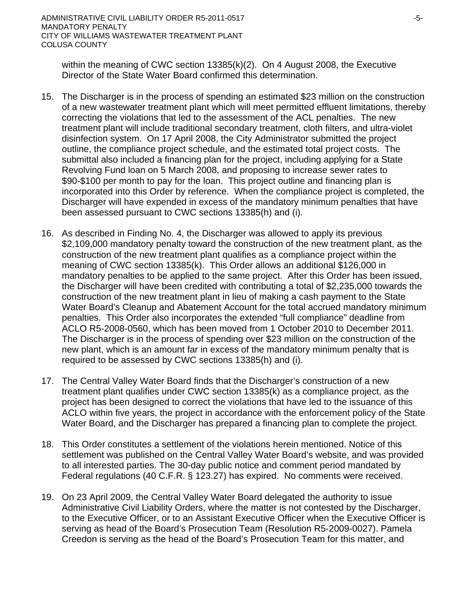within the meaning of CWC section 13385(k)(2). On 4 August 2008, the Executive Director of the State Water Board confirmed this determination.

- 15. The Discharger is in the process of spending an estimated \$23 million on the construction of a new wastewater treatment plant which will meet permitted effluent limitations, thereby correcting the violations that led to the assessment of the ACL penalties. The new treatment plant will include traditional secondary treatment, cloth filters, and ultra-violet disinfection system. On 17 April 2008, the City Administrator submitted the project outline, the compliance project schedule, and the estimated total project costs. The submittal also included a financing plan for the project, including applying for a State Revolving Fund loan on 5 March 2008, and proposing to increase sewer rates to \$90-\$100 per month to pay for the loan. This project outline and financing plan is incorporated into this Order by reference. When the compliance project is completed, the Discharger will have expended in excess of the mandatory minimum penalties that have been assessed pursuant to CWC sections 13385(h) and (i).
- 16. As described in Finding No. 4, the Discharger was allowed to apply its previous \$2,109,000 mandatory penalty toward the construction of the new treatment plant, as the construction of the new treatment plant qualifies as a compliance project within the meaning of CWC section 13385(k). This Order allows an additional \$126,000 in mandatory penalties to be applied to the same project. After this Order has been issued, the Discharger will have been credited with contributing a total of \$2,235,000 towards the construction of the new treatment plant in lieu of making a cash payment to the State Water Board's Cleanup and Abatement Account for the total accrued mandatory minimum penalties. This Order also incorporates the extended "full compliance" deadline from ACLO R5-2008-0560, which has been moved from 1 October 2010 to December 2011. The Discharger is in the process of spending over \$23 million on the construction of the new plant, which is an amount far in excess of the mandatory minimum penalty that is required to be assessed by CWC sections 13385(h) and (i).
- 17. The Central Valley Water Board finds that the Discharger's construction of a new treatment plant qualifies under CWC section 13385(k) as a compliance project, as the project has been designed to correct the violations that have led to the issuance of this ACLO within five years, the project in accordance with the enforcement policy of the State Water Board, and the Discharger has prepared a financing plan to complete the project.
- 18. This Order constitutes a settlement of the violations herein mentioned. Notice of this settlement was published on the Central Valley Water Board's website, and was provided to all interested parties. The 30-day public notice and comment period mandated by Federal regulations (40 C.F.R. § 123.27) has expired. No comments were received.
- 19. On 23 April 2009, the Central Valley Water Board delegated the authority to issue Administrative Civil Liability Orders, where the matter is not contested by the Discharger, to the Executive Officer, or to an Assistant Executive Officer when the Executive Officer is serving as head of the Board's Prosecution Team (Resolution R5-2009-0027). Pamela Creedon is serving as the head of the Board's Prosecution Team for this matter, and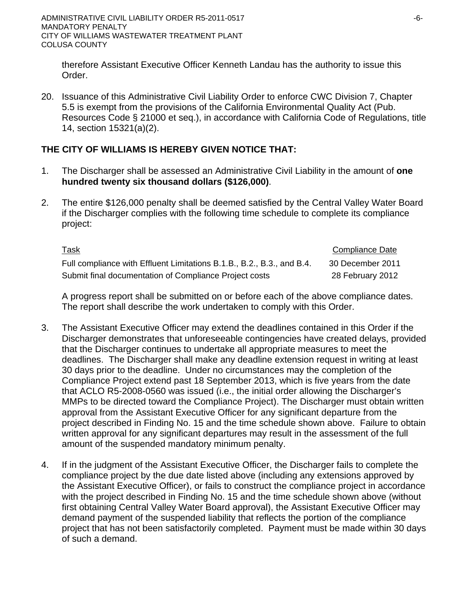therefore Assistant Executive Officer Kenneth Landau has the authority to issue this Order.

20. Issuance of this Administrative Civil Liability Order to enforce CWC Division 7, Chapter 5.5 is exempt from the provisions of the California Environmental Quality Act (Pub. Resources Code § 21000 et seq.), in accordance with California Code of Regulations, title 14, section 15321(a)(2).

# **THE CITY OF WILLIAMS IS HEREBY GIVEN NOTICE THAT:**

- 1. The Discharger shall be assessed an Administrative Civil Liability in the amount of **one hundred twenty six thousand dollars (\$126,000)**.
- 2. The entire \$126,000 penalty shall be deemed satisfied by the Central Valley Water Board if the Discharger complies with the following time schedule to complete its compliance project:

| <u>Task</u>                                                            | Compliance Date  |
|------------------------------------------------------------------------|------------------|
| Full compliance with Effluent Limitations B.1.B., B.2., B.3., and B.4. | 30 December 2011 |
| Submit final documentation of Compliance Project costs                 | 28 February 2012 |

A progress report shall be submitted on or before each of the above compliance dates. The report shall describe the work undertaken to comply with this Order.

- 3. The Assistant Executive Officer may extend the deadlines contained in this Order if the Discharger demonstrates that unforeseeable contingencies have created delays, provided that the Discharger continues to undertake all appropriate measures to meet the deadlines. The Discharger shall make any deadline extension request in writing at least 30 days prior to the deadline. Under no circumstances may the completion of the Compliance Project extend past 18 September 2013, which is five years from the date that ACLO R5-2008-0560 was issued (i.e., the initial order allowing the Discharger's MMPs to be directed toward the Compliance Project). The Discharger must obtain written approval from the Assistant Executive Officer for any significant departure from the project described in Finding No. 15 and the time schedule shown above. Failure to obtain written approval for any significant departures may result in the assessment of the full amount of the suspended mandatory minimum penalty.
- 4. If in the judgment of the Assistant Executive Officer, the Discharger fails to complete the compliance project by the due date listed above (including any extensions approved by the Assistant Executive Officer), or fails to construct the compliance project in accordance with the project described in Finding No. 15 and the time schedule shown above (without first obtaining Central Valley Water Board approval), the Assistant Executive Officer may demand payment of the suspended liability that reflects the portion of the compliance project that has not been satisfactorily completed. Payment must be made within 30 days of such a demand.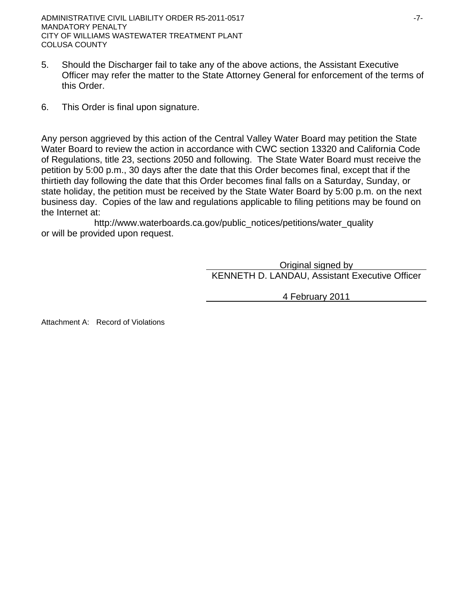- 5. Should the Discharger fail to take any of the above actions, the Assistant Executive Officer may refer the matter to the State Attorney General for enforcement of the terms of this Order.
- 6. This Order is final upon signature.

Any person aggrieved by this action of the Central Valley Water Board may petition the State Water Board to review the action in accordance with CWC section 13320 and California Code of Regulations, title 23, sections 2050 and following. The State Water Board must receive the petition by 5:00 p.m., 30 days after the date that this Order becomes final, except that if the thirtieth day following the date that this Order becomes final falls on a Saturday, Sunday, or state holiday, the petition must be received by the State Water Board by 5:00 p.m. on the next business day. Copies of the law and regulations applicable to filing petitions may be found on the Internet at:

http://www.waterboards.ca.gov/public\_notices/petitions/water\_quality or will be provided upon request.

> Original signed by KENNETH D. LANDAU, Assistant Executive Officer

> > 4 February 2011

Attachment A: Record of Violations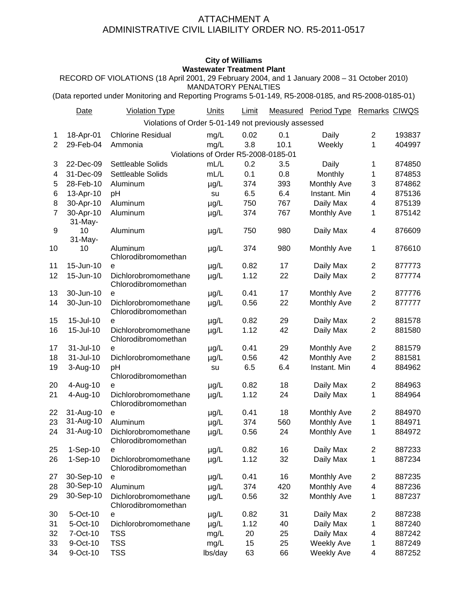### ATTACHMENT A ADMINISTRATIVE CIVIL LIABILITY ORDER NO. R5-2011-0517

### **City of Williams Wastewater Treatment Plant**

RECORD OF VIOLATIONS (18 April 2001, 29 February 2004, and 1 January 2008 – 31 October 2010) MANDATORY PENALTIES

(Data reported under Monitoring and Reporting Programs 5-01-149, R5-2008-0185, and R5-2008-0185-01)

|                | Date          | <b>Violation Type</b>                                | Units                               | Limit |      | Measured Period Type | Remarks CIWQS  |        |
|----------------|---------------|------------------------------------------------------|-------------------------------------|-------|------|----------------------|----------------|--------|
|                |               | Violations of Order 5-01-149 not previously assessed |                                     |       |      |                      |                |        |
| 1              | 18-Apr-01     | <b>Chlorine Residual</b>                             | mg/L                                | 0.02  | 0.1  | Daily                | $\overline{2}$ | 193837 |
| 2              | 29-Feb-04     | Ammonia                                              | mg/L                                | 3.8   | 10.1 | Weekly               | 1              | 404997 |
|                |               |                                                      | Violations of Order R5-2008-0185-01 |       |      |                      |                |        |
| 3              | 22-Dec-09     | Settleable Solids                                    | mL/L                                | 0.2   | 3.5  | Daily                | 1              | 874850 |
| 4              | 31-Dec-09     | Settleable Solids                                    | mL/L                                | 0.1   | 0.8  | Monthly              | 1              | 874853 |
| 5              | 28-Feb-10     | Aluminum                                             | $\mu g/L$                           | 374   | 393  | Monthly Ave          | 3              | 874862 |
| 6              | 13-Apr-10     | pH                                                   | su                                  | 6.5   | 6.4  | Instant. Min         | 4              | 875136 |
| 8              | 30-Apr-10     | Aluminum                                             | $\mu$ g/L                           | 750   | 767  | Daily Max            | 4              | 875139 |
| $\overline{7}$ | 30-Apr-10     | Aluminum                                             | $\mu$ g/L                           | 374   | 767  | <b>Monthly Ave</b>   | 1              | 875142 |
| 9              | 31-May-       | Aluminum                                             |                                     |       |      |                      |                |        |
|                | 10<br>31-May- |                                                      | $\mu$ g/L                           | 750   | 980  | Daily Max            | 4              | 876609 |
| 10             | 10            | Aluminum                                             | µg/L                                | 374   | 980  | <b>Monthly Ave</b>   | 1              | 876610 |
|                |               | Chlorodibromomethan                                  |                                     |       |      |                      |                |        |
| 11             | 15-Jun-10     | e                                                    | $\mu$ g/L                           | 0.82  | 17   | Daily Max            | $\overline{2}$ | 877773 |
| 12             | 15-Jun-10     | Dichlorobromomethane                                 | $\mu$ g/L                           | 1.12  | 22   | Daily Max            | $\overline{2}$ | 877774 |
|                |               | Chlorodibromomethan                                  |                                     |       |      |                      |                |        |
| 13             | 30-Jun-10     | e                                                    | $\mu$ g/L                           | 0.41  | 17   | <b>Monthly Ave</b>   | $\overline{2}$ | 877776 |
| 14             | 30-Jun-10     | Dichlorobromomethane<br>Chlorodibromomethan          | $\mu$ g/L                           | 0.56  | 22   | Monthly Ave          | $\overline{2}$ | 877777 |
| 15             | 15-Jul-10     | e                                                    | $\mu$ g/L                           | 0.82  | 29   | Daily Max            | $\overline{2}$ | 881578 |
| 16             | 15-Jul-10     | Dichlorobromomethane                                 | µg/L                                | 1.12  | 42   | Daily Max            | $\overline{2}$ | 881580 |
|                |               | Chlorodibromomethan                                  |                                     |       |      |                      |                |        |
| 17             | 31-Jul-10     | е                                                    | $\mu$ g/L                           | 0.41  | 29   | <b>Monthly Ave</b>   | $\overline{2}$ | 881579 |
| 18             | 31-Jul-10     | Dichlorobromomethane                                 | µg/L                                | 0.56  | 42   | Monthly Ave          | $\overline{2}$ | 881581 |
| 19             | 3-Aug-10      | рH<br>Chlorodibromomethan                            | su                                  | 6.5   | 6.4  | Instant. Min         | 4              | 884962 |
| 20             | 4-Aug-10      | е                                                    | $\mu$ g/L                           | 0.82  | 18   | Daily Max            | $\overline{2}$ | 884963 |
| 21             | 4-Aug-10      | Dichlorobromomethane<br>Chlorodibromomethan          | $\mu$ g/L                           | 1.12  | 24   | Daily Max            | 1              | 884964 |
| 22             | 31-Aug-10     | е                                                    | µg/L                                | 0.41  | 18   | Monthly Ave          | $\overline{2}$ | 884970 |
| 23             | 31-Aug-10     | Aluminum                                             | µg/L                                | 374   | 560  | <b>Monthly Ave</b>   | 1              | 884971 |
| 24             | 31-Aug-10     | Dichlorobromomethane<br>Chlorodibromomethan          | $\mu$ g/L                           | 0.56  | 24   | <b>Monthly Ave</b>   | 1              | 884972 |
| 25             | 1-Sep-10      | е                                                    | µg/L                                | 0.82  | 16   | Daily Max            | 2              | 887233 |
| 26             | 1-Sep-10      | Dichlorobromomethane<br>Chlorodibromomethan          | $\mu$ g/L                           | 1.12  | 32   | Daily Max            | 1              | 887234 |
| 27             | 30-Sep-10     | е                                                    | µg/L                                | 0.41  | 16   | Monthly Ave          | 2              | 887235 |
| 28             | 30-Sep-10     | Aluminum                                             | $\mu$ g/L                           | 374   | 420  | <b>Monthly Ave</b>   | 4              | 887236 |
| 29             | 30-Sep-10     | Dichlorobromomethane                                 | $\mu$ g/L                           | 0.56  | 32   | Monthly Ave          | 1              | 887237 |
|                |               | Chlorodibromomethan                                  |                                     |       |      |                      |                |        |
| 30             | 5-Oct-10      | е                                                    | µg/L                                | 0.82  | 31   | Daily Max            | $\overline{c}$ | 887238 |
| 31             | 5-Oct-10      | Dichlorobromomethane                                 | $\mu$ g/L                           | 1.12  | 40   | Daily Max            | 1              | 887240 |
| 32             | 7-Oct-10      | <b>TSS</b>                                           | mg/L                                | 20    | 25   | Daily Max            | 4              | 887242 |
| 33             | 9-Oct-10      | <b>TSS</b>                                           | mg/L                                | 15    | 25   | <b>Weekly Ave</b>    | 1              | 887249 |
| 34             | 9-Oct-10      | <b>TSS</b>                                           | lbs/day                             | 63    | 66   | Weekly Ave           | 4              | 887252 |